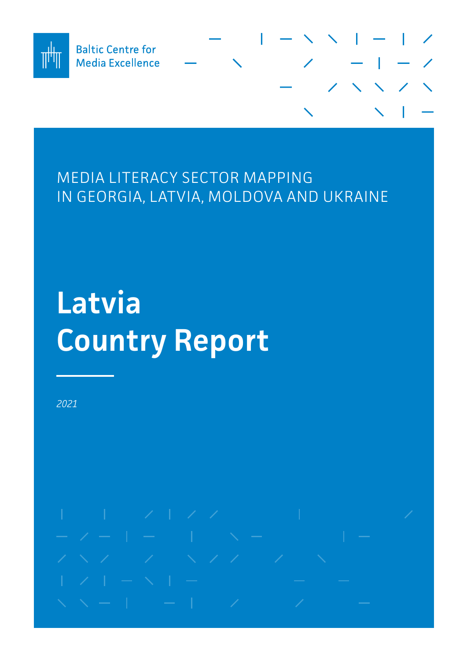

# MEDIA LITERACY SECTOR MAPPING IN GEORGIA, LATVIA, MOLDOVA AND UKRAINE

# **Latvia Country Report**

*2021*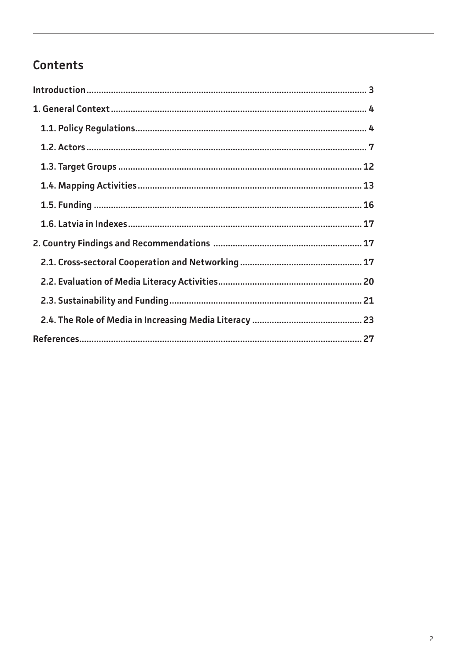# Contents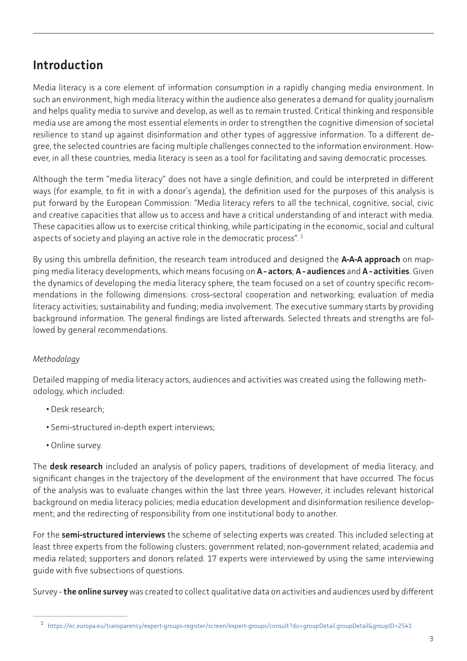# <span id="page-2-0"></span>**Introduction**

Media literacy is a core element of information consumption in a rapidly changing media environment. In such an environment, high media literacy within the audience also generates a demand for quality journalism and helps quality media to survive and develop, as well as to remain trusted. Critical thinking and responsible media use are among the most essential elements in order to strengthen the cognitive dimension of societal resilience to stand up against disinformation and other types of aggressive information. To a different degree, the selected countries are facing multiple challenges connected to the information environment. However, in all these countries, media literacy is seen as a tool for facilitating and saving democratic processes.

Although the term "media literacy" does not have a single definition, and could be interpreted in different ways (for example, to fit in with a donor's agenda), the definition used for the purposes of this analysis is put forward by the European Commission: "Media literacy refers to all the technical, cognitive, social, civic and creative capacities that allow us to access and have a critical understanding of and interact with media. These capacities allow us to exercise critical thinking, while participating in the economic, social and cultural aspects of society and playing an active role in the democratic process".<sup>1</sup>

By using this umbrella definition, the research team introduced and designed the **A-A-A approach** on mapping media literacy developments, which means focusing on **A - actors**; **A - audiences** and **A - activities**. Given the dynamics of developing the media literacy sphere, the team focused on a set of country specific recommendations in the following dimensions: cross-sectoral cooperation and networking; evaluation of media literacy activities; sustainability and funding; media involvement. The executive summary starts by providing background information. The general findings are listed afterwards. Selected threats and strengths are followed by general recommendations.

# *Methodology*

Detailed mapping of media literacy actors, audiences and activities was created using the following methodology, which included:

- Desk research;
- Semi-structured in-depth expert interviews;
- Online survey.

The **desk research** included an analysis of policy papers, traditions of development of media literacy, and significant changes in the trajectory of the development of the environment that have occurred. The focus of the analysis was to evaluate changes within the last three years. However, it includes relevant historical background on media literacy policies; media education development and disinformation resilience development; and the redirecting of responsibility from one institutional body to another.

For the **semi-structured interviews** the scheme of selecting experts was created. This included selecting at least three experts from the following clusters: government related; non-government related; academia and media related; supporters and donors related. 17 experts were interviewed by using the same interviewing guide with five subsections of questions.

Survey - **the online survey** was created to collect qualitative data on activities and audiences used by different

<sup>1</sup> [https://ec.europa.eu/transparency/expert-groups-register/screen/expert-groups/consult?do=groupDetail.groupDetail&groupID=2541](https://ec.europa.eu/transparency/expert-groups-register/screen/expert-groups/consult?do=groupDetail)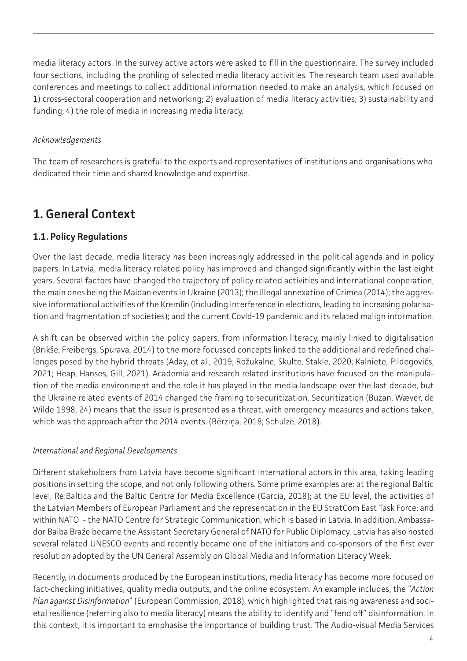<span id="page-3-0"></span>media literacy actors. In the survey active actors were asked to fill in the questionnaire. The survey included four sections, including the profiling of selected media literacy activities. The research team used available conferences and meetings to collect additional information needed to make an analysis, which focused on 1) cross-sectoral cooperation and networking; 2) evaluation of media literacy activities; 3) sustainability and funding; 4) the role of media in increasing media literacy.

## *Acknowledgements*

The team of researchers is grateful to the experts and representatives of institutions and organisations who dedicated their time and shared knowledge and expertise.

# **1. General Context**

# **1.1. Policy Regulations**

Over the last decade, media literacy has been increasingly addressed in the political agenda and in policy papers. In Latvia, media literacy related policy has improved and changed significantly within the last eight years. Several factors have changed the trajectory of policy related activities and international cooperation, the main ones being the Maidan events in Ukraine (2013); the illegal annexation of Crimea (2014); the aggressive informational activities of the Kremlin (including interference in elections, leading to increasing polarisation and fragmentation of societies); and the current Covid-19 pandemic and its related malign information.

A shift can be observed within the policy papers, from information literacy, mainly linked to digitalisation (Brikše, Freibergs, Spurava, 2014) to the more focussed concepts linked to the additional and redefined challenges posed by the hybrid threats (Aday, et al., 2019; Rožukalne, Skulte, Stakle, 2020; Kalniete, Pildegovičs, 2021; Heap, Hanses, Gill, 2021). Academia and research related institutions have focused on the manipulation of the media environment and the role it has played in the media landscape over the last decade, but the Ukraine related events of 2014 changed the framing to securitization. Securitization (Buzan, Wæver, de Wilde 1998, 24) means that the issue is presented as a threat, with emergency measures and actions taken, which was the approach after the 2014 events. (Bērziņa, 2018; Schulze, 2018).

#### *International and Regional Developments*

Different stakeholders from Latvia have become significant international actors in this area, taking leading positions in setting the scope, and not only following others. Some prime examples are: at the regional Baltic level, Re:Baltica and the Baltic Centre for Media Excellence (Garcia, 2018); at the EU level, the activities of the Latvian Members of European Parliament and the representation in the EU StratCom East Task Force; and within NATO - the NATO Centre for Strategic Communication, which is based in Latvia. In addition, Ambassador Baiba Braže became the Assistant Secretary General of NATO for Public Diplomacy. Latvia has also hosted several related UNESCO events and recently became one of the initiators and co-sponsors of the first ever resolution adopted by the UN General Assembly on Global Media and Information Literacy Week.

Recently, in documents produced by the European institutions, media literacy has become more focused on fact-checking initiatives, quality media outputs, and the online ecosystem. An example includes, the "*Action Plan against Disinformation*" (European Commission, 2018), which highlighted that raising awareness and societal resilience (referring also to media literacy) means the ability to identify and "fend off" disinformation. In this context, it is important to emphasise the importance of building trust. The Audio-visual Media Services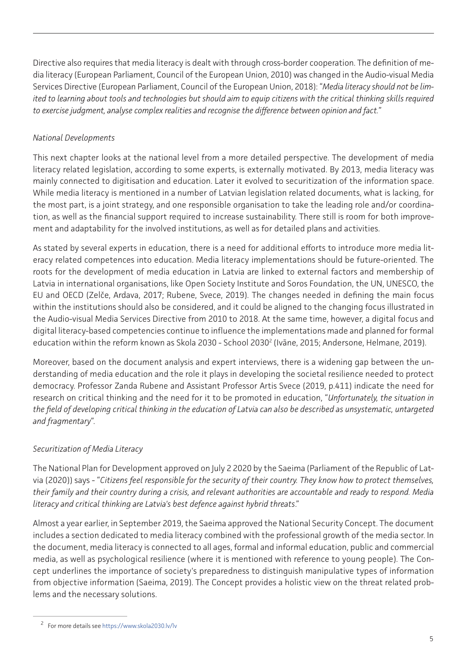Directive also requires that media literacy is dealt with through cross-border cooperation. The definition of media literacy (European Parliament, Council of the European Union, 2010) was changed in the Audio-visual Media Services Directive (European Parliament, Council of the European Union, 2018): "*Media literacy should not be limited to learning about tools and technologies but should aim to equip citizens with the critical thinking skills required to exercise judgment, analyse complex realities and recognise the difference between opinion and fact.*"

# *National Developments*

This next chapter looks at the national level from a more detailed perspective. The development of media literacy related legislation, according to some experts, is externally motivated. By 2013, media literacy was mainly connected to digitisation and education. Later it evolved to securitization of the information space. While media literacy is mentioned in a number of Latvian legislation related documents, what is lacking, for the most part, is a joint strategy, and one responsible organisation to take the leading role and/or coordination, as well as the financial support required to increase sustainability. There still is room for both improvement and adaptability for the involved institutions, as well as for detailed plans and activities.

As stated by several experts in education, there is a need for additional efforts to introduce more media literacy related competences into education. Media literacy implementations should be future-oriented. The roots for the development of media education in Latvia are linked to external factors and membership of Latvia in international organisations, like Open Society Institute and Soros Foundation, the UN, UNESCO, the EU and OECD (Zelče, Ardava, 2017; Rubene, Svece, 2019). The changes needed in defining the main focus within the institutions should also be considered, and it could be aligned to the changing focus illustrated in the Audio-visual Media Services Directive from 2010 to 2018. At the same time, however, a digital focus and digital literacy-based competencies continue to influence the implementations made and planned for formal education within the reform known as Skola 2030 - School 2030<sup>2</sup> (Ivāne, 2015; Andersone, Helmane, 2019).

Moreover, based on the document analysis and expert interviews, there is a widening gap between the understanding of media education and the role it plays in developing the societal resilience needed to protect democracy. Professor Zanda Rubene and Assistant Professor Artis Svece (2019, p.411) indicate the need for research on critical thinking and the need for it to be promoted in education, "*Unfortunately, the situation in the field of developing critical thinking in the education of Latvia can also be described as unsystematic, untargeted and fragmentary*".

# *Securitization of Media Literacy*

The National Plan for Development approved on July 2 2020 by the Saeima (Parliament of the Republic of Latvia (2020)) says - "*Citizens feel responsible for the security of their country. They know how to protect themselves, their family and their country during a crisis, and relevant authorities are accountable and ready to respond. Media literacy and critical thinking are Latvia's best defence against hybrid threats*."

Almost a year earlier, in September 2019, the Saeima approved the National Security Concept. The document includes a section dedicated to media literacy combined with the professional growth of the media sector. In the document, media literacy is connected to all ages, formal and informal education, public and commercial media, as well as psychological resilience (where it is mentioned with reference to young people). The Concept underlines the importance of society's preparedness to distinguish manipulative types of information from objective information (Saeima, 2019). The Concept provides a holistic view on the threat related problems and the necessary solutions.

<sup>2</sup> For more details see<https://www.skola2030.lv/lv>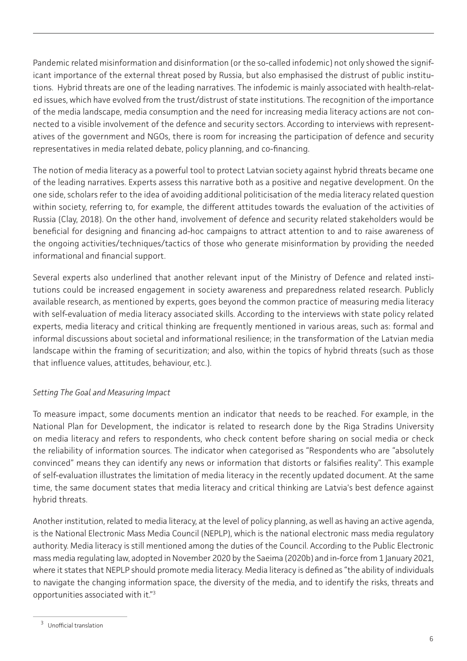Pandemic related misinformation and disinformation (or the so-called infodemic) not only showed the significant importance of the external threat posed by Russia, but also emphasised the distrust of public institutions. Hybrid threats are one of the leading narratives. The infodemic is mainly associated with health-related issues, which have evolved from the trust/distrust of state institutions. The recognition of the importance of the media landscape, media consumption and the need for increasing media literacy actions are not connected to a visible involvement of the defence and security sectors. According to interviews with representatives of the government and NGOs, there is room for increasing the participation of defence and security representatives in media related debate, policy planning, and co-financing.

The notion of media literacy as a powerful tool to protect Latvian society against hybrid threats became one of the leading narratives. Experts assess this narrative both as a positive and negative development. On the one side, scholars refer to the idea of avoiding additional politicisation of the media literacy related question within society, referring to, for example, the different attitudes towards the evaluation of the activities of Russia (Clay, 2018). On the other hand, involvement of defence and security related stakeholders would be beneficial for designing and financing ad-hoc campaigns to attract attention to and to raise awareness of the ongoing activities/techniques/tactics of those who generate misinformation by providing the needed informational and financial support.

Several experts also underlined that another relevant input of the Ministry of Defence and related institutions could be increased engagement in society awareness and preparedness related research. Publicly available research, as mentioned by experts, goes beyond the common practice of measuring media literacy with self-evaluation of media literacy associated skills. According to the interviews with state policy related experts, media literacy and critical thinking are frequently mentioned in various areas, such as: formal and informal discussions about societal and informational resilience; in the transformation of the Latvian media landscape within the framing of securitization; and also, within the topics of hybrid threats (such as those that influence values, attitudes, behaviour, etc.).

# *Setting The Goal and Measuring Impact*

To measure impact, some documents mention an indicator that needs to be reached. For example, in the National Plan for Development, the indicator is related to research done by the Riga Stradins University on media literacy and refers to respondents, who check content before sharing on social media or check the reliability of information sources. The indicator when categorised as "Respondents who are "absolutely convinced" means they can identify any news or information that distorts or falsifies reality". This example of self-evaluation illustrates the limitation of media literacy in the recently updated document. At the same time, the same document states that media literacy and critical thinking are Latvia's best defence against hybrid threats.

Another institution, related to media literacy, at the level of policy planning, as well as having an active agenda, is the National Electronic Mass Media Council (NEPLP), which is the national electronic mass media regulatory authority. Media literacy is still mentioned among the duties of the Council. According to the Public Electronic mass media regulating law, adopted in November 2020 by the Saeima (2020b) and in-force from 1 January 2021, where it states that NEPLP should promote media literacy. Media literacy is defined as "the ability of individuals to navigate the changing information space, the diversity of the media, and to identify the risks, threats and opportunities associated with it."3

<sup>3</sup> Unofficial translation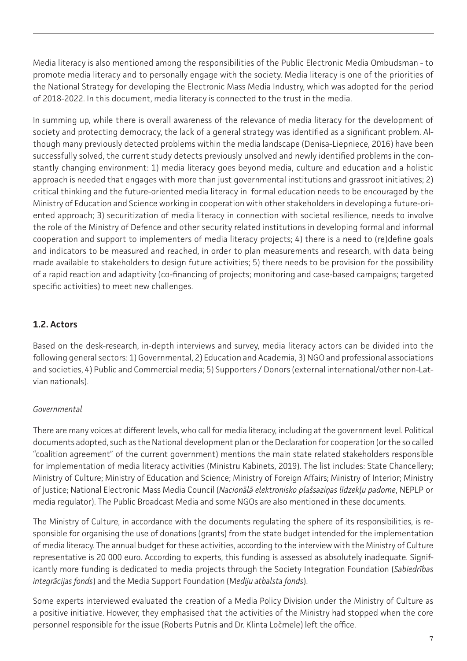<span id="page-6-0"></span>Media literacy is also mentioned among the responsibilities of the Public Electronic Media Ombudsman - to promote media literacy and to personally engage with the society. Media literacy is one of the priorities of the National Strategy for developing the Electronic Mass Media Industry, which was adopted for the period of 2018-2022. In this document, media literacy is connected to the trust in the media.

In summing up, while there is overall awareness of the relevance of media literacy for the development of society and protecting democracy, the lack of a general strategy was identified as a significant problem. Although many previously detected problems within the media landscape (Denisa-Liepniece, 2016) have been successfully solved, the current study detects previously unsolved and newly identified problems in the constantly changing environment: 1) media literacy goes beyond media, culture and education and a holistic approach is needed that engages with more than just governmental institutions and grassroot initiatives; 2) critical thinking and the future-oriented media literacy in formal education needs to be encouraged by the Ministry of Education and Science working in cooperation with other stakeholders in developing a future-oriented approach; 3) securitization of media literacy in connection with societal resilience, needs to involve the role of the Ministry of Defence and other security related institutions in developing formal and informal cooperation and support to implementers of media literacy projects; 4) there is a need to (re)define goals and indicators to be measured and reached, in order to plan measurements and research, with data being made available to stakeholders to design future activities; 5) there needs to be provision for the possibility of a rapid reaction and adaptivity (co-financing of projects; monitoring and case-based campaigns; targeted specific activities) to meet new challenges.

# **1.2. Actors**

Based on the desk-research, in-depth interviews and survey, media literacy actors can be divided into the following general sectors: 1) Governmental, 2) Education and Academia, 3) NGO and professional associations and societies, 4) Public and Commercial media; 5) Supporters / Donors (external international/other non-Latvian nationals).

# *Governmental*

There are many voices at different levels, who call for media literacy, including at the government level. Political documents adopted, such as the National development plan or the Declaration for cooperation (or the so called "coalition agreement" of the current government) mentions the main state related stakeholders responsible for implementation of media literacy activities (Ministru Kabinets, 2019). The list includes: State Chancellery; Ministry of Culture; Ministry of Education and Science; Ministry of Foreign Affairs; Ministry of Interior; Ministry of Justice; National Electronic Mass Media Council (*Nacionālā elektronisko plašsaziņas līdzekļu padome*, NEPLP or media regulator). The Public Broadcast Media and some NGOs are also mentioned in these documents.

The Ministry of Culture, in accordance with the documents regulating the sphere of its responsibilities, is responsible for organising the use of donations (grants) from the state budget intended for the implementation of media literacy. The annual budget for these activities, according to the interview with the Ministry of Culture representative is 20 000 euro. According to experts, this funding is assessed as absolutely inadequate. Significantly more funding is dedicated to media projects through the Society Integration Foundation (*Sabiedrības integrācijas fonds*) and the Media Support Foundation (M*ediju atbalsta fonds*).

Some experts interviewed evaluated the creation of a Media Policy Division under the Ministry of Culture as a positive initiative. However, they emphasised that the activities of the Ministry had stopped when the core personnel responsible for the issue (Roberts Putnis and Dr. Klinta Ločmele) left the office.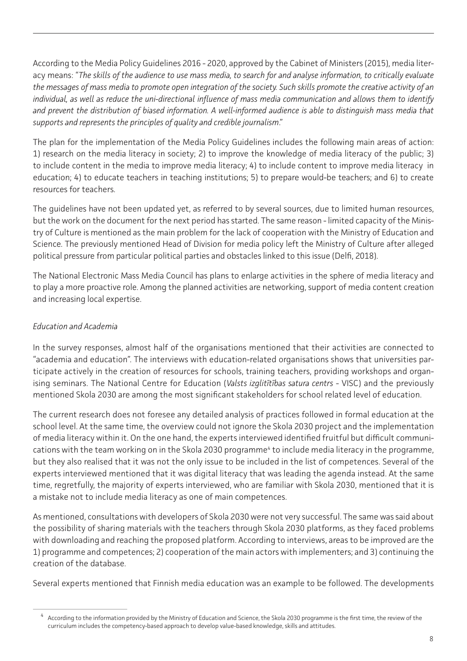According to the Media Policy Guidelines 2016 - 2020, approved by the Cabinet of Ministers (2015), media literacy means: "*The skills of the audience to use mass media, to search for and analyse information, to critically evaluate the messages of mass media to promote open integration of the society. Such skills promote the creative activity of an individual, as well as reduce the uni-directional influence of mass media communication and allows them to identify and prevent the distribution of biased information. A well-informed audience is able to distinguish mass media that supports and represents the principles of quality and credible journalism*."

The plan for the implementation of the Media Policy Guidelines includes the following main areas of action: 1) research on the media literacy in society; 2) to improve the knowledge of media literacy of the public; 3) to include content in the media to improve media literacy; 4) to include content to improve media literacy in education; 4) to educate teachers in teaching institutions; 5) to prepare would-be teachers; and 6) to create resources for teachers.

The guidelines have not been updated yet, as referred to by several sources, due to limited human resources, but the work on the document for the next period has started. The same reason - limited capacity of the Ministry of Culture is mentioned as the main problem for the lack of cooperation with the Ministry of Education and Science. The previously mentioned Head of Division for media policy left the Ministry of Culture after alleged political pressure from particular political parties and obstacles linked to this issue (Delfi, 2018).

The National Electronic Mass Media Council has plans to enlarge activities in the sphere of media literacy and to play a more proactive role. Among the planned activities are networking, support of media content creation and increasing local expertise.

## *Education and Academia*

In the survey responses, almost half of the organisations mentioned that their activities are connected to "academia and education". The interviews with education-related organisations shows that universities participate actively in the creation of resources for schools, training teachers, providing workshops and organising seminars. The National Centre for Education (*Valsts izglitītības satura centrs* - VISC) and the previously mentioned Skola 2030 are among the most significant stakeholders for school related level of education.

The current research does not foresee any detailed analysis of practices followed in formal education at the school level. At the same time, the overview could not ignore the Skola 2030 project and the implementation of media literacy within it. On the one hand, the experts interviewed identified fruitful but difficult communications with the team working on in the Skola 2030 programme<sup>4</sup> to include media literacy in the programme, but they also realised that it was not the only issue to be included in the list of competences. Several of the experts interviewed mentioned that it was digital literacy that was leading the agenda instead. At the same time, regretfully, the majority of experts interviewed, who are familiar with Skola 2030, mentioned that it is a mistake not to include media literacy as one of main competences.

As mentioned, consultations with developers of Skola 2030 were not very successful. The same was said about the possibility of sharing materials with the teachers through Skola 2030 platforms, as they faced problems with downloading and reaching the proposed platform. According to interviews, areas to be improved are the 1) programme and competences; 2) cooperation of the main actors with implementers; and 3) continuing the creation of the database.

Several experts mentioned that Finnish media education was an example to be followed. The developments

<sup>4</sup> According to the information provided by the Ministry of Education and Science, the Skola 2030 programme is the first time, the review of the curriculum includes the competency-based approach to develop value-based knowledge, skills and attitudes.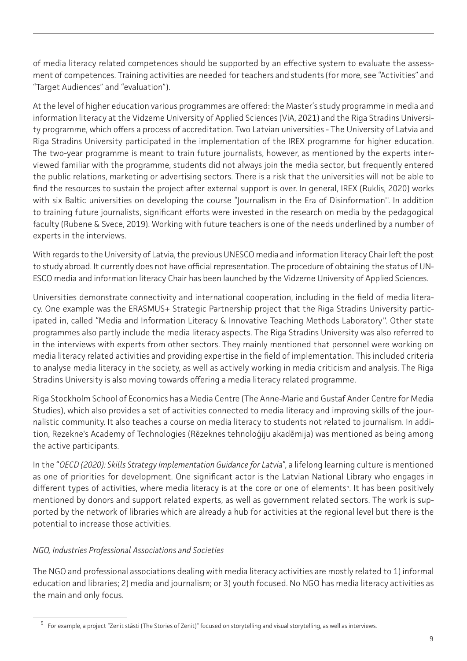of media literacy related competences should be supported by an effective system to evaluate the assessment of competences. Training activities are needed for teachers and students (for more, see "Activities" and "Target Audiences" and "evaluation").

At the level of higher education various programmes are offered: the Master's study programme in media and information literacy at the Vidzeme University of Applied Sciences (ViA, 2021) and the Riga Stradins University programme, which offers a process of accreditation. Two Latvian universities - The University of Latvia and Riga Stradins University participated in the implementation of the IREX programme for higher education. The two-year programme is meant to train future journalists, however, as mentioned by the experts interviewed familiar with the programme, students did not always join the media sector, but frequently entered the public relations, marketing or advertising sectors. There is a risk that the universities will not be able to find the resources to sustain the project after external support is over. In general, IREX (Ruklis, 2020) works with six Baltic universities on developing the course "Journalism in the Era of Disinformation''. In addition to training future journalists, significant efforts were invested in the research on media by the pedagogical faculty (Rubene & Svece, 2019). Working with future teachers is one of the needs underlined by a number of experts in the interviews.

With regards to the University of Latvia, the previous UNESCO media and information literacy Chair left the post to study abroad. It currently does not have official representation. The procedure of obtaining the status of UN-ESCO media and information literacy Chair has been launched by the Vidzeme University of Applied Sciences.

Universities demonstrate connectivity and international cooperation, including in the field of media literacy. One example was the ERASMUS+ Strategic Partnership project that the Riga Stradins University participated in, called "Media and Information Literacy & Innovative Teaching Methods Laboratory''. Other state programmes also partly include the media literacy aspects. The Riga Stradins University was also referred to in the interviews with experts from other sectors. They mainly mentioned that personnel were working on media literacy related activities and providing expertise in the field of implementation. This included criteria to analyse media literacy in the society, as well as actively working in media criticism and analysis. The Riga Stradins University is also moving towards offering a media literacy related programme.

Riga Stockholm School of Economics has a Media Centre (The Anne-Marie and Gustaf Ander Centre for Media Studies), which also provides a set of activities connected to media literacy and improving skills of the journalistic community. It also teaches a course on media literacy to students not related to journalism. In addition, Rezekne's Academy of Technologies (Rēzeknes tehnoloģiju akadēmija) was mentioned as being among the active participants.

In the "*OECD (2020): Skills Strategy Implementation Guidance for Latvia*", a lifelong learning culture is mentioned as one of priorities for development. One significant actor is the Latvian National Library who engages in different types of activities, where media literacy is at the core or one of elements<sup>5</sup>. It has been positively mentioned by donors and support related experts, as well as government related sectors. The work is supported by the network of libraries which are already a hub for activities at the regional level but there is the potential to increase those activities.

# *NGO, Industries Professional Associations and Societies*

The NGO and professional associations dealing with media literacy activities are mostly related to 1) informal education and libraries; 2) media and journalism; or 3) youth focused. No NGO has media literacy activities as the main and only focus.

<sup>5</sup> For example, a project "Zenit stāsti (The Stories of Zenit)" focused on storytelling and visual storytelling, as well as interviews.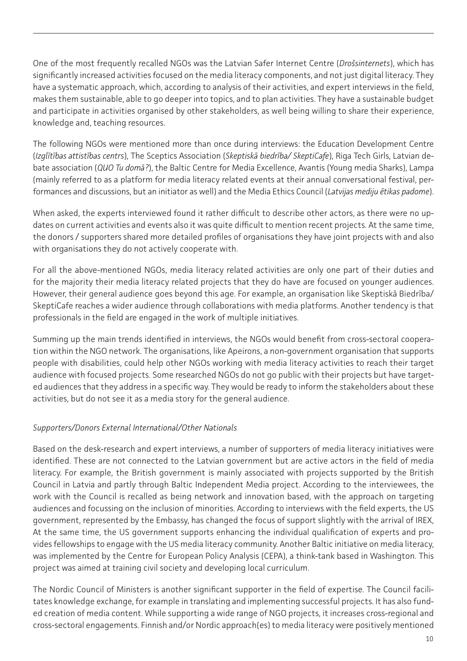One of the most frequently recalled NGOs was the Latvian Safer Internet Centre (*Drošsinternets*), which has significantly increased activities focused on the media literacy components, and not just digital literacy. They have a systematic approach, which, according to analysis of their activities, and expert interviews in the field, makes them sustainable, able to go deeper into topics, and to plan activities. They have a sustainable budget and participate in activities organised by other stakeholders, as well being willing to share their experience, knowledge and, teaching resources.

The following NGOs were mentioned more than once during interviews: the Education Development Centre (*Izglītības attistības centrs*), The Sceptics Association (*Skeptiskā biedrība/ SkeptiCafe*), Riga Tech Girls, Latvian debate association (*QUO Tu domā?*), the Baltic Centre for Media Excellence, Avantis (Young media Sharks), Lampa (mainly referred to as a platform for media literacy related events at their annual conversational festival, performances and discussions, but an initiator as well) and the Media Ethics Council (*Latvijas mediju ētikas padome*).

When asked, the experts interviewed found it rather difficult to describe other actors, as there were no updates on current activities and events also it was quite difficult to mention recent projects. At the same time, the donors / supporters shared more detailed profiles of organisations they have joint projects with and also with organisations they do not actively cooperate with.

For all the above-mentioned NGOs, media literacy related activities are only one part of their duties and for the majority their media literacy related projects that they do have are focused on younger audiences. However, their general audience goes beyond this age. For example, an organisation like Skeptiskā Biedrība/ SkeptiCafe reaches a wider audience through collaborations with media platforms. Another tendency is that professionals in the field are engaged in the work of multiple initiatives.

Summing up the main trends identified in interviews, the NGOs would benefit from cross-sectoral cooperation within the NGO network. The organisations, like Apeirons, a non-government organisation that supports people with disabilities, could help other NGOs working with media literacy activities to reach their target audience with focused projects. Some researched NGOs do not go public with their projects but have targeted audiences that they address in a specific way. They would be ready to inform the stakeholders about these activities, but do not see it as a media story for the general audience.

# *Supporters/Donors External International/Other Nationals*

Based on the desk-research and expert interviews, a number of supporters of media literacy initiatives were identified. These are not connected to the Latvian government but are active actors in the field of media literacy. For example, the British government is mainly associated with projects supported by the British Council in Latvia and partly through Baltic Independent Media project. According to the interviewees, the work with the Council is recalled as being network and innovation based, with the approach on targeting audiences and focussing on the inclusion of minorities. According to interviews with the field experts, the US government, represented by the Embassy, has changed the focus of support slightly with the arrival of IREX, At the same time, the US government supports enhancing the individual qualification of experts and provides fellowships to engage with the US media literacy community. Another Baltic initiative on media literacy, was implemented by the Centre for European Policy Analysis (CEPA), a think-tank based in Washington. This project was aimed at training civil society and developing local curriculum.

The Nordic Council of Ministers is another significant supporter in the field of expertise. The Council facilitates knowledge exchange, for example in translating and implementing successful projects. It has also funded creation of media content. While supporting a wide range of NGO projects, it increases cross-regional and cross-sectoral engagements. Finnish and/or Nordic approach(es) to media literacy were positively mentioned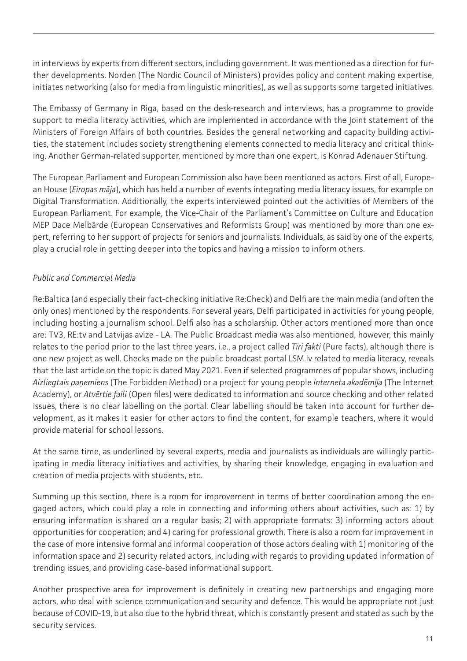in interviews by experts from different sectors, including government. It was mentioned as a direction for further developments. Norden (The Nordic Council of Ministers) provides policy and content making expertise, initiates networking (also for media from linguistic minorities), as well as supports some targeted initiatives.

The Embassy of Germany in Riga, based on the desk-research and interviews, has a programme to provide support to media literacy activities, which are implemented in accordance with the Joint statement of the Ministers of Foreign Affairs of both countries. Besides the general networking and capacity building activities, the statement includes society strengthening elements connected to media literacy and critical thinking. Another German-related supporter, mentioned by more than one expert, is Konrad Adenauer Stiftung.

The European Parliament and European Commission also have been mentioned as actors. First of all, European House (*Eiropas māja*), which has held a number of events integrating media literacy issues, for example on Digital Transformation. Additionally, the experts interviewed pointed out the activities of Members of the European Parliament. For example, the Vice-Chair of the Parliament's Committee on Culture and Education MEP Dace Melbārde (European Conservatives and Reformists Group) was mentioned by more than one expert, referring to her support of projects for seniors and journalists. Individuals, as said by one of the experts, play a crucial role in getting deeper into the topics and having a mission to inform others.

# *Public and Commercial Media*

Re:Baltica (and especially their fact-checking initiative Re:Check) and Delfi are the main media (and often the only ones) mentioned by the respondents. For several years, Delfi participated in activities for young people, including hosting a journalism school. Delfi also has a scholarship. Other actors mentioned more than once are: TV3, RE:tv and Latvijas avīze - LA. The Public Broadcast media was also mentioned, however, this mainly relates to the period prior to the last three years, i.e., a project called *Tīri fakti* (Pure facts), although there is one new project as well. Checks made on the public broadcast portal LSM.lv related to media literacy, reveals that the last article on the topic is dated May 2021. Even if selected programmes of popular shows, including *Aizliegtais paņemiens* (The Forbidden Method) or a project for young people *Interneta akadēmija* (The Internet Academy), or *Atvērtie faili* (Open files) were dedicated to information and source checking and other related issues, there is no clear labelling on the portal. Clear labelling should be taken into account for further development, as it makes it easier for other actors to find the content, for example teachers, where it would provide material for school lessons.

At the same time, as underlined by several experts, media and journalists as individuals are willingly participating in media literacy initiatives and activities, by sharing their knowledge, engaging in evaluation and creation of media projects with students, etc.

Summing up this section, there is a room for improvement in terms of better coordination among the engaged actors, which could play a role in connecting and informing others about activities, such as: 1) by ensuring information is shared on a regular basis; 2) with appropriate formats: 3) informing actors about opportunities for cooperation; and 4) caring for professional growth. There is also a room for improvement in the case of more intensive formal and informal cooperation of those actors dealing with 1) monitoring of the information space and 2) security related actors, including with regards to providing updated information of trending issues, and providing case-based informational support.

Another prospective area for improvement is definitely in creating new partnerships and engaging more actors, who deal with science communication and security and defence. This would be appropriate not just because of COVID-19, but also due to the hybrid threat, which is constantly present and stated as such by the security services.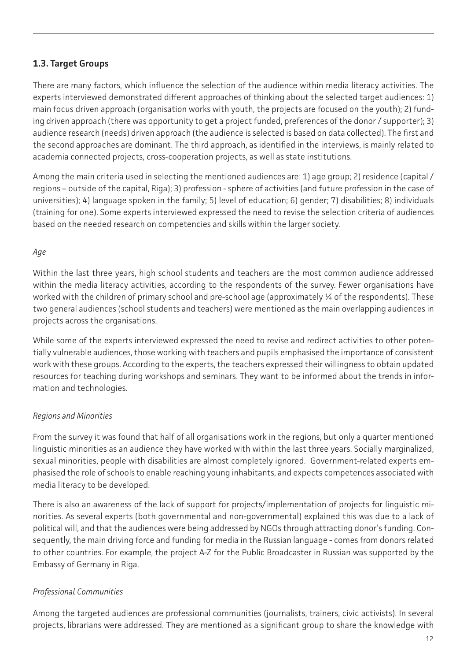# <span id="page-11-0"></span>**1.3. Target Groups**

There are many factors, which influence the selection of the audience within media literacy activities. The experts interviewed demonstrated different approaches of thinking about the selected target audiences: 1) main focus driven approach (organisation works with youth, the projects are focused on the youth); 2) funding driven approach (there was opportunity to get a project funded, preferences of the donor / supporter); 3) audience research (needs) driven approach (the audience is selected is based on data collected). The first and the second approaches are dominant. The third approach, as identified in the interviews, is mainly related to academia connected projects, cross-cooperation projects, as well as state institutions.

Among the main criteria used in selecting the mentioned audiences are: 1) age group; 2) residence (capital / regions – outside of the capital, Riga); 3) profession - sphere of activities (and future profession in the case of universities); 4) language spoken in the family; 5) level of education; 6) gender; 7) disabilities; 8) individuals (training for one). Some experts interviewed expressed the need to revise the selection criteria of audiences based on the needed research on competencies and skills within the larger society.

#### *Age*

Within the last three years, high school students and teachers are the most common audience addressed within the media literacy activities, according to the respondents of the survey. Fewer organisations have worked with the children of primary school and pre-school age (approximately % of the respondents). These two general audiences (school students and teachers) were mentioned as the main overlapping audiences in projects across the organisations.

While some of the experts interviewed expressed the need to revise and redirect activities to other potentially vulnerable audiences, those working with teachers and pupils emphasised the importance of consistent work with these groups. According to the experts, the teachers expressed their willingness to obtain updated resources for teaching during workshops and seminars. They want to be informed about the trends in information and technologies.

# *Regions and Minorities*

From the survey it was found that half of all organisations work in the regions, but only a quarter mentioned linguistic minorities as an audience they have worked with within the last three years. Socially marginalized, sexual minorities, people with disabilities are almost completely ignored. Government-related experts emphasised the role of schools to enable reaching young inhabitants, and expects competences associated with media literacy to be developed.

There is also an awareness of the lack of support for projects/implementation of projects for linguistic minorities. As several experts (both governmental and non-governmental) explained this was due to a lack of political will, and that the audiences were being addressed by NGOs through attracting donor's funding. Consequently, the main driving force and funding for media in the Russian language - comes from donors related to other countries. For example, the project A-Z for the Public Broadcaster in Russian was supported by the Embassy of Germany in Riga.

# *Professional Communities*

Among the targeted audiences are professional communities (journalists, trainers, civic activists). In several projects, librarians were addressed. They are mentioned as a significant group to share the knowledge with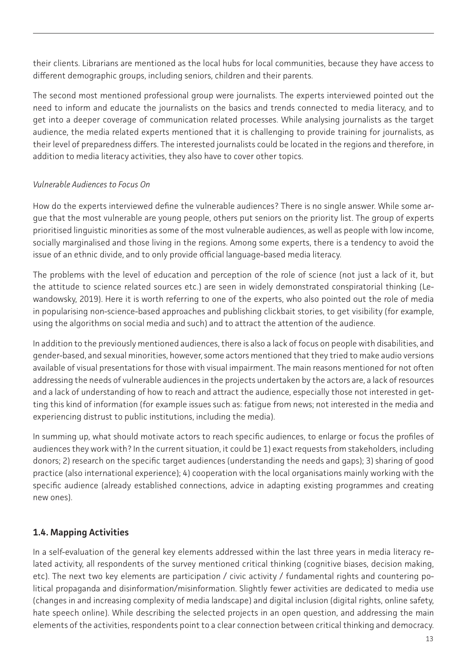<span id="page-12-0"></span>their clients. Librarians are mentioned as the local hubs for local communities, because they have access to different demographic groups, including seniors, children and their parents.

The second most mentioned professional group were journalists. The experts interviewed pointed out the need to inform and educate the journalists on the basics and trends connected to media literacy, and to get into a deeper coverage of communication related processes. While analysing journalists as the target audience, the media related experts mentioned that it is challenging to provide training for journalists, as their level of preparedness differs. The interested journalists could be located in the regions and therefore, in addition to media literacy activities, they also have to cover other topics.

#### *Vulnerable Audiences to Focus On*

How do the experts interviewed define the vulnerable audiences? There is no single answer. While some argue that the most vulnerable are young people, others put seniors on the priority list. The group of experts prioritised linguistic minorities as some of the most vulnerable audiences, as well as people with low income, socially marginalised and those living in the regions. Among some experts, there is a tendency to avoid the issue of an ethnic divide, and to only provide official language-based media literacy.

The problems with the level of education and perception of the role of science (not just a lack of it, but the attitude to science related sources etc.) are seen in widely demonstrated conspiratorial thinking (Lewandowsky, 2019). Here it is worth referring to one of the experts, who also pointed out the role of media in popularising non-science-based approaches and publishing clickbait stories, to get visibility (for example, using the algorithms on social media and such) and to attract the attention of the audience.

In addition to the previously mentioned audiences, there is also a lack of focus on people with disabilities, and gender-based, and sexual minorities, however, some actors mentioned that they tried to make audio versions available of visual presentations for those with visual impairment. The main reasons mentioned for not often addressing the needs of vulnerable audiences in the projects undertaken by the actors are, a lack of resources and a lack of understanding of how to reach and attract the audience, especially those not interested in getting this kind of information (for example issues such as: fatigue from news; not interested in the media and experiencing distrust to public institutions, including the media).

In summing up, what should motivate actors to reach specific audiences, to enlarge or focus the profiles of audiences they work with? In the current situation, it could be 1) exact requests from stakeholders, including donors; 2) research on the specific target audiences (understanding the needs and gaps); 3) sharing of good practice (also international experience); 4) cooperation with the local organisations mainly working with the specific audience (already established connections, advice in adapting existing programmes and creating new ones).

# **1.4. Mapping Activities**

In a self-evaluation of the general key elements addressed within the last three years in media literacy related activity, all respondents of the survey mentioned critical thinking (cognitive biases, decision making, etc). The next two key elements are participation / civic activity / fundamental rights and countering political propaganda and disinformation/misinformation. Slightly fewer activities are dedicated to media use (changes in and increasing complexity of media landscape) and digital inclusion (digital rights, online safety, hate speech online). While describing the selected projects in an open question, and addressing the main elements of the activities, respondents point to a clear connection between critical thinking and democracy.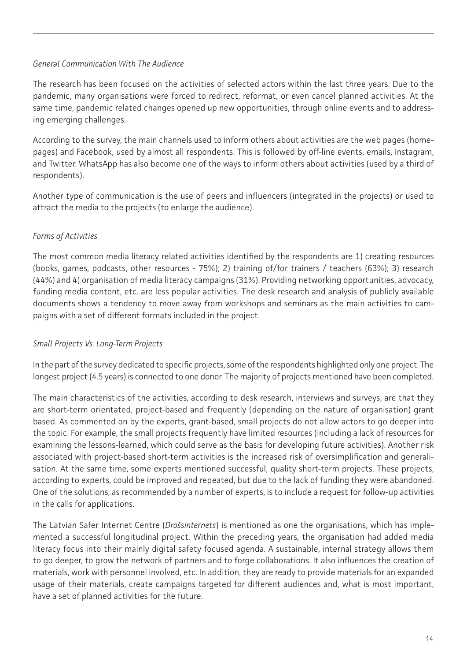#### *General Communication With The Audience*

The research has been focused on the activities of selected actors within the last three years. Due to the pandemic, many organisations were forced to redirect, reformat, or even cancel planned activities. At the same time, pandemic related changes opened up new opportunities, through online events and to addressing emerging challenges.

According to the survey, the main channels used to inform others about activities are the web pages (homepages) and Facebook, used by almost all respondents. This is followed by off-line events, emails, Instagram, and Twitter. WhatsApp has also become one of the ways to inform others about activities (used by a third of respondents).

Another type of communication is the use of peers and influencers (integrated in the projects) or used to attract the media to the projects (to enlarge the audience).

# *Forms of Activities*

The most common media literacy related activities identified by the respondents are 1) creating resources (books, games, podcasts, other resources - 75%); 2) training of/for trainers / teachers (63%); 3) research (44%) and 4) organisation of media literacy campaigns (31%). Providing networking opportunities, advocacy, funding media content, etc. are less popular activities. The desk research and analysis of publicly available documents shows a tendency to move away from workshops and seminars as the main activities to campaigns with a set of different formats included in the project.

# *Small Projects Vs. Long-Term Projects*

In the part of the survey dedicated to specific projects, some of the respondents highlighted only one project. The longest project (4.5 years) is connected to one donor. The majority of projects mentioned have been completed.

The main characteristics of the activities, according to desk research, interviews and surveys, are that they are short-term orientated, project-based and frequently (depending on the nature of organisation) grant based. As commented on by the experts, grant-based, small projects do not allow actors to go deeper into the topic. For example, the small projects frequently have limited resources (including a lack of resources for examining the lessons-learned, which could serve as the basis for developing future activities). Another risk associated with project-based short-term activities is the increased risk of oversimplification and generalisation. At the same time, some experts mentioned successful, quality short-term projects. These projects, according to experts, could be improved and repeated, but due to the lack of funding they were abandoned. One of the solutions, as recommended by a number of experts, is to include a request for follow-up activities in the calls for applications.

The Latvian Safer Internet Centre (*Drošsinternets*) is mentioned as one the organisations, which has implemented a successful longitudinal project. Within the preceding years, the organisation had added media literacy focus into their mainly digital safety focused agenda. A sustainable, internal strategy allows them to go deeper, to grow the network of partners and to forge collaborations. It also influences the creation of materials, work with personnel involved, etc. In addition, they are ready to provide materials for an expanded usage of their materials, create campaigns targeted for different audiences and, what is most important, have a set of planned activities for the future.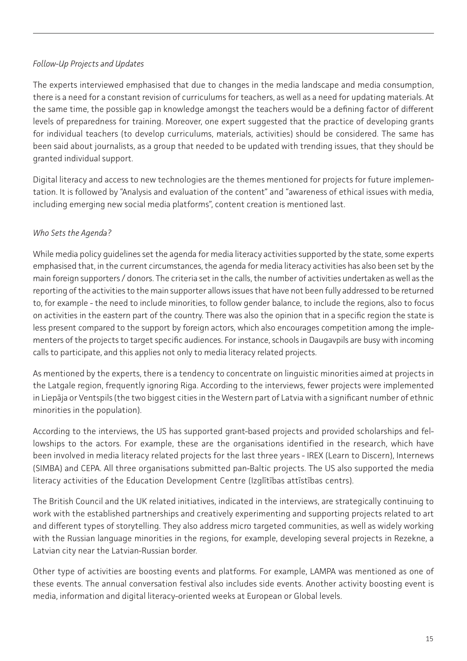# *Follow-Up Projects and Updates*

The experts interviewed emphasised that due to changes in the media landscape and media consumption, there is a need for a constant revision of curriculums for teachers, as well as a need for updating materials. At the same time, the possible gap in knowledge amongst the teachers would be a defining factor of different levels of preparedness for training. Moreover, one expert suggested that the practice of developing grants for individual teachers (to develop curriculums, materials, activities) should be considered. The same has been said about journalists, as a group that needed to be updated with trending issues, that they should be granted individual support.

Digital literacy and access to new technologies are the themes mentioned for projects for future implementation. It is followed by "Analysis and evaluation of the content" and "awareness of ethical issues with media, including emerging new social media platforms", content creation is mentioned last.

# *Who Sets the Agenda?*

While media policy guidelines set the agenda for media literacy activities supported by the state, some experts emphasised that, in the current circumstances, the agenda for media literacy activities has also been set by the main foreign supporters / donors. The criteria set in the calls, the number of activities undertaken as well as the reporting of the activities to the main supporter allows issues that have not been fully addressed to be returned to, for example - the need to include minorities, to follow gender balance, to include the regions, also to focus on activities in the eastern part of the country. There was also the opinion that in a specific region the state is less present compared to the support by foreign actors, which also encourages competition among the implementers of the projects to target specific audiences. For instance, schools in Daugavpils are busy with incoming calls to participate, and this applies not only to media literacy related projects.

As mentioned by the experts, there is a tendency to concentrate on linguistic minorities aimed at projects in the Latgale region, frequently ignoring Riga. According to the interviews, fewer projects were implemented in Liepāja or Ventspils (the two biggest cities in the Western part of Latvia with a significant number of ethnic minorities in the population).

According to the interviews, the US has supported grant-based projects and provided scholarships and fellowships to the actors. For example, these are the organisations identified in the research, which have been involved in media literacy related projects for the last three years - IREX (Learn to Discern), Internews (SIMBA) and CEPA. All three organisations submitted pan-Baltic projects. The US also supported the media literacy activities of the Education Development Centre (Izglītības attīstības centrs).

The British Council and the UK related initiatives, indicated in the interviews, are strategically continuing to work with the established partnerships and creatively experimenting and supporting projects related to art and different types of storytelling. They also address micro targeted communities, as well as widely working with the Russian language minorities in the regions, for example, developing several projects in Rezekne, a Latvian city near the Latvian-Russian border.

Other type of activities are boosting events and platforms. For example, LAMPA was mentioned as one of these events. The annual conversation festival also includes side events. Another activity boosting event is media, information and digital literacy-oriented weeks at European or Global levels.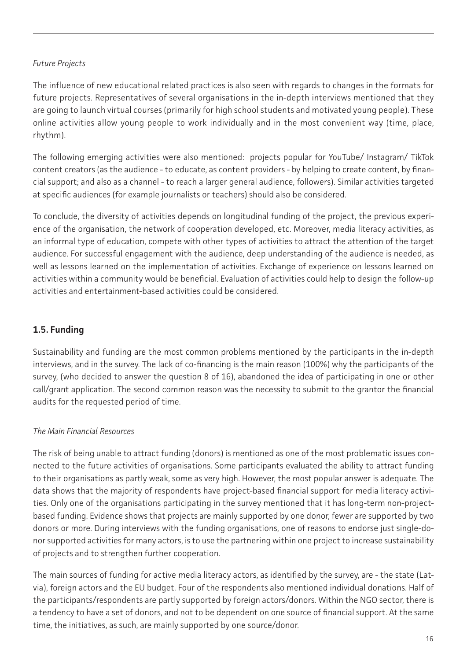#### <span id="page-15-0"></span>*Future Projects*

The influence of new educational related practices is also seen with regards to changes in the formats for future projects. Representatives of several organisations in the in-depth interviews mentioned that they are going to launch virtual courses (primarily for high school students and motivated young people). These online activities allow young people to work individually and in the most convenient way (time, place, rhythm).

The following emerging activities were also mentioned: projects popular for YouTube/ Instagram/ TikTok content creators (as the audience - to educate, as content providers - by helping to create content, by financial support; and also as a channel - to reach a larger general audience, followers). Similar activities targeted at specific audiences (for example journalists or teachers) should also be considered.

To conclude, the diversity of activities depends on longitudinal funding of the project, the previous experience of the organisation, the network of cooperation developed, etc. Moreover, media literacy activities, as an informal type of education, compete with other types of activities to attract the attention of the target audience. For successful engagement with the audience, deep understanding of the audience is needed, as well as lessons learned on the implementation of activities. Exchange of experience on lessons learned on activities within a community would be beneficial. Evaluation of activities could help to design the follow-up activities and entertainment-based activities could be considered.

# **1.5. Funding**

Sustainability and funding are the most common problems mentioned by the participants in the in-depth interviews, and in the survey. The lack of co-financing is the main reason (100%) why the participants of the survey, (who decided to answer the question 8 of 16), abandoned the idea of participating in one or other call/grant application. The second common reason was the necessity to submit to the grantor the financial audits for the requested period of time.

# *The Main Financial Resources*

The risk of being unable to attract funding (donors) is mentioned as one of the most problematic issues connected to the future activities of organisations. Some participants evaluated the ability to attract funding to their organisations as partly weak, some as very high. However, the most popular answer is adequate. The data shows that the majority of respondents have project-based financial support for media literacy activities. Only one of the organisations participating in the survey mentioned that it has long-term non-projectbased funding. Evidence shows that projects are mainly supported by one donor, fewer are supported by two donors or more. During interviews with the funding organisations, one of reasons to endorse just single-donor supported activities for many actors, is to use the partnering within one project to increase sustainability of projects and to strengthen further cooperation.

The main sources of funding for active media literacy actors, as identified by the survey, are - the state (Latvia), foreign actors and the EU budget. Four of the respondents also mentioned individual donations. Half of the participants/respondents are partly supported by foreign actors/donors. Within the NGO sector, there is a tendency to have a set of donors, and not to be dependent on one source of financial support. At the same time, the initiatives, as such, are mainly supported by one source/donor.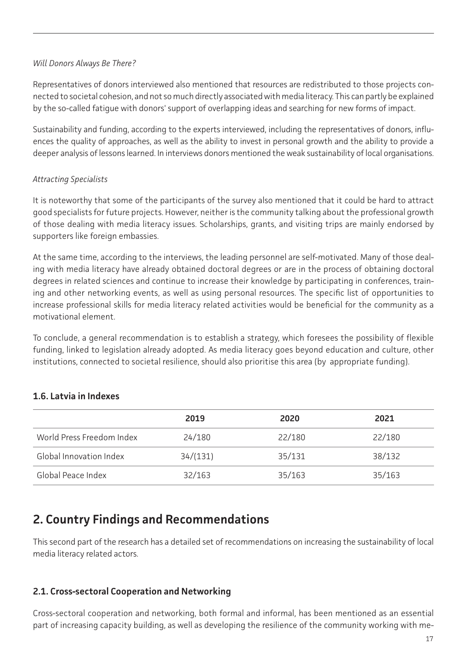#### <span id="page-16-0"></span>*Will Donors Always Be There?*

Representatives of donors interviewed also mentioned that resources are redistributed to those projects connected to societal cohesion, and not so much directly associated with media literacy. This can partly be explained by the so-called fatigue with donors' support of overlapping ideas and searching for new forms of impact.

Sustainability and funding, according to the experts interviewed, including the representatives of donors, influences the quality of approaches, as well as the ability to invest in personal growth and the ability to provide a deeper analysis of lessons learned. In interviews donors mentioned the weak sustainability of local organisations.

# *Attracting Specialists*

It is noteworthy that some of the participants of the survey also mentioned that it could be hard to attract good specialists for future projects. However, neither is the community talking about the professional growth of those dealing with media literacy issues. Scholarships, grants, and visiting trips are mainly endorsed by supporters like foreign embassies.

At the same time, according to the interviews, the leading personnel are self-motivated. Many of those dealing with media literacy have already obtained doctoral degrees or are in the process of obtaining doctoral degrees in related sciences and continue to increase their knowledge by participating in conferences, training and other networking events, as well as using personal resources. The specific list of opportunities to increase professional skills for media literacy related activities would be beneficial for the community as a motivational element.

To conclude, a general recommendation is to establish a strategy, which foresees the possibility of flexible funding, linked to legislation already adopted. As media literacy goes beyond education and culture, other institutions, connected to societal resilience, should also prioritise this area (by appropriate funding).

|                           | 2019     | 2020   | 2021   |
|---------------------------|----------|--------|--------|
| World Press Freedom Index | 24/180   | 22/180 | 22/180 |
| Global Innovation Index   | 34/(131) | 35/131 | 38/132 |
| Global Peace Index        | 32/163   | 35/163 | 35/163 |

# **1.6. Latvia in Indexes**

# **2. Country Findings and Recommendations**

This second part of the research has a detailed set of recommendations on increasing the sustainability of local media literacy related actors.

# **2.1. Cross-sectoral Cooperation and Networking**

Cross-sectoral cooperation and networking, both formal and informal, has been mentioned as an essential part of increasing capacity building, as well as developing the resilience of the community working with me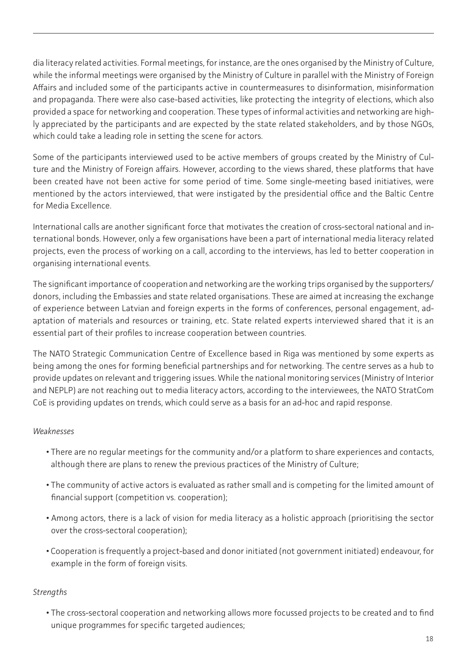dia literacy related activities. Formal meetings, for instance, are the ones organised by the Ministry of Culture, while the informal meetings were organised by the Ministry of Culture in parallel with the Ministry of Foreign Affairs and included some of the participants active in countermeasures to disinformation, misinformation and propaganda. There were also case-based activities, like protecting the integrity of elections, which also provided a space for networking and cooperation. These types of informal activities and networking are highly appreciated by the participants and are expected by the state related stakeholders, and by those NGOs, which could take a leading role in setting the scene for actors.

Some of the participants interviewed used to be active members of groups created by the Ministry of Culture and the Ministry of Foreign affairs. However, according to the views shared, these platforms that have been created have not been active for some period of time. Some single-meeting based initiatives, were mentioned by the actors interviewed, that were instigated by the presidential office and the Baltic Centre for Media Excellence.

International calls are another significant force that motivates the creation of cross-sectoral national and international bonds. However, only a few organisations have been a part of international media literacy related projects, even the process of working on a call, according to the interviews, has led to better cooperation in organising international events.

The significant importance of cooperation and networking are the working trips organised by the supporters/ donors, including the Embassies and state related organisations. These are aimed at increasing the exchange of experience between Latvian and foreign experts in the forms of conferences, personal engagement, adaptation of materials and resources or training, etc. State related experts interviewed shared that it is an essential part of their profiles to increase cooperation between countries.

The NATO Strategic Communication Centre of Excellence based in Riga was mentioned by some experts as being among the ones for forming beneficial partnerships and for networking. The centre serves as a hub to provide updates on relevant and triggering issues. While the national monitoring services (Ministry of Interior and NEPLP) are not reaching out to media literacy actors, according to the interviewees, the NATO StratCom CoE is providing updates on trends, which could serve as a basis for an ad-hoc and rapid response.

#### *Weaknesses*

- There are no regular meetings for the community and/or a platform to share experiences and contacts, although there are plans to renew the previous practices of the Ministry of Culture;
- The community of active actors is evaluated as rather small and is competing for the limited amount of financial support (competition vs. cooperation);
- Among actors, there is a lack of vision for media literacy as a holistic approach (prioritising the sector over the cross-sectoral cooperation);
- Cooperation is frequently a project-based and donor initiated (not government initiated) endeavour, for example in the form of foreign visits.

# *Strengths*

**•** The cross-sectoral cooperation and networking allows more focussed projects to be created and to find unique programmes for specific targeted audiences;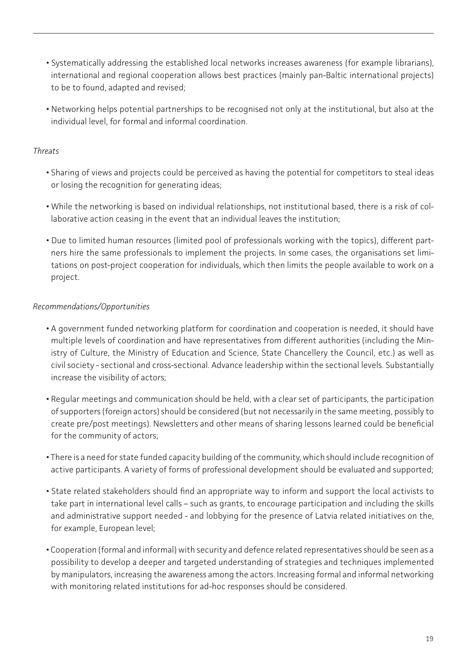- Systematically addressing the established local networks increases awareness (for example librarians), international and regional cooperation allows best practices (mainly pan-Baltic international projects) to be to found, adapted and revised;
- Networking helps potential partnerships to be recognised not only at the institutional, but also at the individual level, for formal and informal coordination.

## *Threats*

- Sharing of views and projects could be perceived as having the potential for competitors to steal ideas or losing the recognition for generating ideas;
- While the networking is based on individual relationships, not institutional based, there is a risk of collaborative action ceasing in the event that an individual leaves the institution;
- Due to limited human resources (limited pool of professionals working with the topics), different partners hire the same professionals to implement the projects. In some cases, the organisations set limitations on post-project cooperation for individuals, which then limits the people available to work on a project.

#### *Recommendations/Opportunities*

- A government funded networking platform for coordination and cooperation is needed, it should have multiple levels of coordination and have representatives from different authorities (including the Ministry of Culture, the Ministry of Education and Science, State Chancellery the Council, etc.) as well as civil society - sectional and cross-sectional. Advance leadership within the sectional levels. Substantially increase the visibility of actors;
- Regular meetings and communication should be held, with a clear set of participants, the participation of supporters (foreign actors) should be considered (but not necessarily in the same meeting, possibly to create pre/post meetings). Newsletters and other means of sharing lessons learned could be beneficial for the community of actors;
- There is a need for state funded capacity building of the community, which should include recognition of active participants. A variety of forms of professional development should be evaluated and supported;
- State related stakeholders should find an appropriate way to inform and support the local activists to take part in international level calls – such as grants, to encourage participation and including the skills and administrative support needed - and lobbying for the presence of Latvia related initiatives on the, for example, European level;
- Cooperation (formal and informal) with security and defence related representatives should be seen as a possibility to develop a deeper and targeted understanding of strategies and techniques implemented by manipulators, increasing the awareness among the actors. Increasing formal and informal networking with monitoring related institutions for ad-hoc responses should be considered.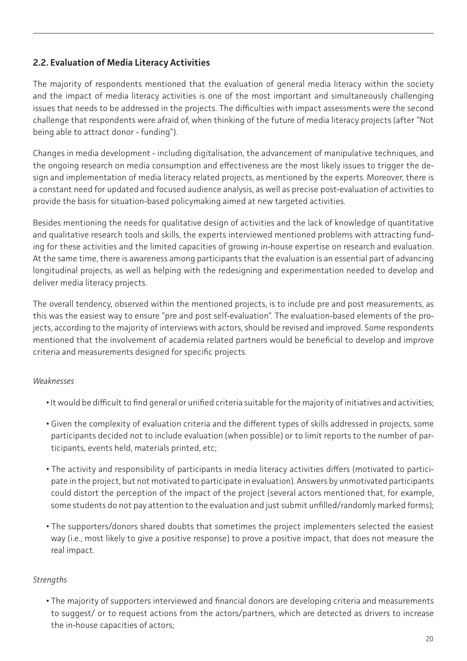# <span id="page-19-0"></span>**2.2. Evaluation of Media Literacy Activities**

The majority of respondents mentioned that the evaluation of general media literacy within the society and the impact of media literacy activities is one of the most important and simultaneously challenging issues that needs to be addressed in the projects. The difficulties with impact assessments were the second challenge that respondents were afraid of, when thinking of the future of media literacy projects (after "Not being able to attract donor - funding").

Changes in media development - including digitalisation, the advancement of manipulative techniques, and the ongoing research on media consumption and effectiveness are the most likely issues to trigger the design and implementation of media literacy related projects, as mentioned by the experts. Moreover, there is a constant need for updated and focused audience analysis, as well as precise post-evaluation of activities to provide the basis for situation-based policymaking aimed at new targeted activities.

Besides mentioning the needs for qualitative design of activities and the lack of knowledge of quantitative and qualitative research tools and skills, the experts interviewed mentioned problems with attracting funding for these activities and the limited capacities of growing in-house expertise on research and evaluation. At the same time, there is awareness among participants that the evaluation is an essential part of advancing longitudinal projects, as well as helping with the redesigning and experimentation needed to develop and deliver media literacy projects.

The overall tendency, observed within the mentioned projects, is to include pre and post measurements, as this was the easiest way to ensure "pre and post self-evaluation". The evaluation-based elements of the projects, according to the majority of interviews with actors, should be revised and improved. Some respondents mentioned that the involvement of academia related partners would be beneficial to develop and improve criteria and measurements designed for specific projects.

#### *Weaknesses*

- It would be difficult to find general or unified criteria suitable for the majority of initiatives and activities;
- Given the complexity of evaluation criteria and the different types of skills addressed in projects, some participants decided not to include evaluation (when possible) or to limit reports to the number of participants, events held, materials printed, etc;
- The activity and responsibility of participants in media literacy activities differs (motivated to participate in the project, but not motivated to participate in evaluation). Answers by unmotivated participants could distort the perception of the impact of the project (several actors mentioned that, for example, some students do not pay attention to the evaluation and just submit unfilled/randomly marked forms);
- The supporters/donors shared doubts that sometimes the project implementers selected the easiest way (i.e., most likely to give a positive response) to prove a positive impact, that does not measure the real impact.

# *Strengths*

**•** The majority of supporters interviewed and financial donors are developing criteria and measurements to suggest/ or to request actions from the actors/partners, which are detected as drivers to increase the in-house capacities of actors;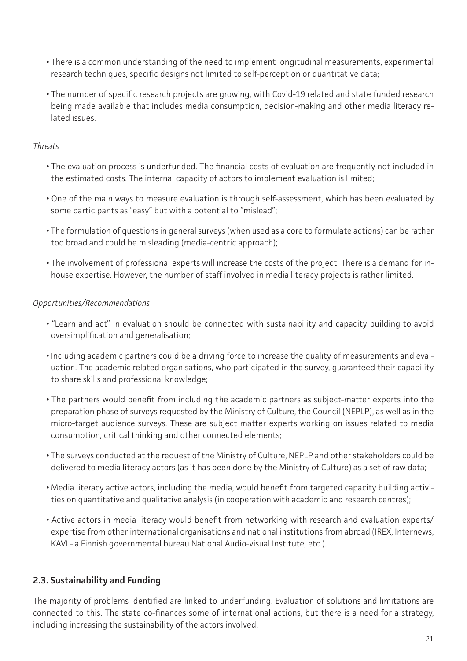- <span id="page-20-0"></span>**•** There is a common understanding of the need to implement longitudinal measurements, experimental research techniques, specific designs not limited to self-perception or quantitative data;
- The number of specific research projects are growing, with Covid-19 related and state funded research being made available that includes media consumption, decision-making and other media literacy related issues.

## *Threats*

- The evaluation process is underfunded. The financial costs of evaluation are frequently not included in the estimated costs. The internal capacity of actors to implement evaluation is limited;
- One of the main ways to measure evaluation is through self-assessment, which has been evaluated by some participants as "easy" but with a potential to "mislead";
- The formulation of questions in general surveys (when used as a core to formulate actions) can be rather too broad and could be misleading (media-centric approach);
- The involvement of professional experts will increase the costs of the project. There is a demand for inhouse expertise. However, the number of staff involved in media literacy projects is rather limited.

#### *Opportunities/Recommendations*

- "Learn and act" in evaluation should be connected with sustainability and capacity building to avoid oversimplification and generalisation;
- Including academic partners could be a driving force to increase the quality of measurements and evaluation. The academic related organisations, who participated in the survey, guaranteed their capability to share skills and professional knowledge;
- The partners would benefit from including the academic partners as subject-matter experts into the preparation phase of surveys requested by the Ministry of Culture, the Council (NEPLP), as well as in the micro-target audience surveys. These are subject matter experts working on issues related to media consumption, critical thinking and other connected elements;
- The surveys conducted at the request of the Ministry of Culture, NEPLP and other stakeholders could be delivered to media literacy actors (as it has been done by the Ministry of Culture) as a set of raw data;
- Media literacy active actors, including the media, would benefit from targeted capacity building activities on quantitative and qualitative analysis (in cooperation with academic and research centres);
- Active actors in media literacy would benefit from networking with research and evaluation experts/ expertise from other international organisations and national institutions from abroad (IREX, Internews, KAVI - a Finnish governmental bureau National Audio-visual Institute, etc.).

# **2.3. Sustainability and Funding**

The majority of problems identified are linked to underfunding. Evaluation of solutions and limitations are connected to this. The state co-finances some of international actions, but there is a need for a strategy, including increasing the sustainability of the actors involved.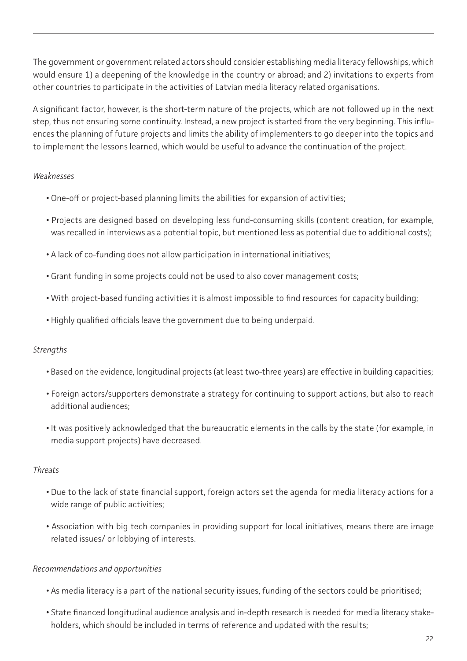The government or government related actors should consider establishing media literacy fellowships, which would ensure 1) a deepening of the knowledge in the country or abroad; and 2) invitations to experts from other countries to participate in the activities of Latvian media literacy related organisations.

A significant factor, however, is the short-term nature of the projects, which are not followed up in the next step, thus not ensuring some continuity. Instead, a new project is started from the very beginning. This influences the planning of future projects and limits the ability of implementers to go deeper into the topics and to implement the lessons learned, which would be useful to advance the continuation of the project.

#### *Weaknesses*

- One-off or project-based planning limits the abilities for expansion of activities;
- Projects are designed based on developing less fund-consuming skills (content creation, for example, was recalled in interviews as a potential topic, but mentioned less as potential due to additional costs);
- A lack of co-funding does not allow participation in international initiatives;
- Grant funding in some projects could not be used to also cover management costs;
- With project-based funding activities it is almost impossible to find resources for capacity building;
- Highly qualified officials leave the government due to being underpaid.

#### *Strengths*

- Based on the evidence, longitudinal projects (at least two-three years) are effective in building capacities;
- Foreign actors/supporters demonstrate a strategy for continuing to support actions, but also to reach additional audiences;
- It was positively acknowledged that the bureaucratic elements in the calls by the state (for example, in media support projects) have decreased.

# *Threats*

- Due to the lack of state financial support, foreign actors set the agenda for media literacy actions for a wide range of public activities;
- Association with big tech companies in providing support for local initiatives, means there are image related issues/ or lobbying of interests.

#### *Recommendations and opportunities*

- As media literacy is a part of the national security issues, funding of the sectors could be prioritised;
- State financed longitudinal audience analysis and in-depth research is needed for media literacy stakeholders, which should be included in terms of reference and updated with the results;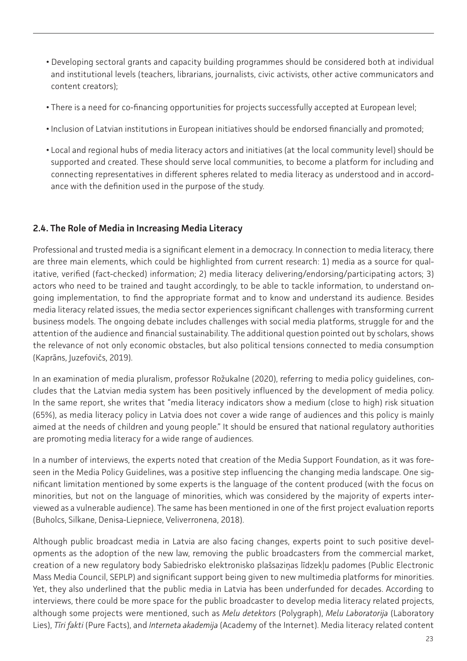- <span id="page-22-0"></span>**•** Developing sectoral grants and capacity building programmes should be considered both at individual and institutional levels (teachers, librarians, journalists, civic activists, other active communicators and content creators);
- There is a need for co-financing opportunities for projects successfully accepted at European level;
- Inclusion of Latvian institutions in European initiatives should be endorsed financially and promoted;
- Local and regional hubs of media literacy actors and initiatives (at the local community level) should be supported and created. These should serve local communities, to become a platform for including and connecting representatives in different spheres related to media literacy as understood and in accordance with the definition used in the purpose of the study.

# **2.4. The Role of Media in Increasing Media Literacy**

Professional and trusted media is a significant element in a democracy. In connection to media literacy, there are three main elements, which could be highlighted from current research: 1) media as a source for qualitative, verified (fact-checked) information; 2) media literacy delivering/endorsing/participating actors; 3) actors who need to be trained and taught accordingly, to be able to tackle information, to understand ongoing implementation, to find the appropriate format and to know and understand its audience. Besides media literacy related issues, the media sector experiences significant challenges with transforming current business models. The ongoing debate includes challenges with social media platforms, struggle for and the attention of the audience and financial sustainability. The additional question pointed out by scholars, shows the relevance of not only economic obstacles, but also political tensions connected to media consumption (Kaprāns, Juzefovičs, 2019).

In an examination of media pluralism, professor Rožukalne (2020), referring to media policy guidelines, concludes that the Latvian media system has been positively influenced by the development of media policy. In the same report, she writes that "media literacy indicators show a medium (close to high) risk situation (65%), as media literacy policy in Latvia does not cover a wide range of audiences and this policy is mainly aimed at the needs of children and young people." It should be ensured that national regulatory authorities are promoting media literacy for a wide range of audiences.

In a number of interviews, the experts noted that creation of the Media Support Foundation, as it was foreseen in the Media Policy Guidelines, was a positive step influencing the changing media landscape. One significant limitation mentioned by some experts is the language of the content produced (with the focus on minorities, but not on the language of minorities, which was considered by the majority of experts interviewed as a vulnerable audience). The same has been mentioned in one of the first project evaluation reports (Buholcs, Silkane, Denisa-Liepniece, Veliverronena, 2018).

Although public broadcast media in Latvia are also facing changes, experts point to such positive developments as the adoption of the new law, removing the public broadcasters from the commercial market, creation of a new regulatory body Sabiedrisko elektronisko plašsaziņas līdzekļu padomes (Public Electronic Mass Media Council, SEPLP) and significant support being given to new multimedia platforms for minorities. Yet, they also underlined that the public media in Latvia has been underfunded for decades. According to interviews, there could be more space for the public broadcaster to develop media literacy related projects, although some projects were mentioned, such as *Melu detektors* (Polygraph), *Melu Laboratorija* (Laboratory Lies), *Tīri fakti* (Pure Facts), and *Interneta akademija* (Academy of the Internet). Media literacy related content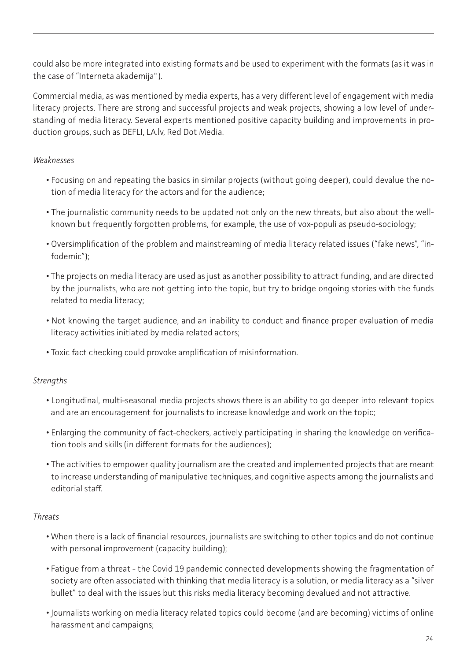could also be more integrated into existing formats and be used to experiment with the formats (as it was in the case of "Interneta akademija'').

Commercial media, as was mentioned by media experts, has a very different level of engagement with media literacy projects. There are strong and successful projects and weak projects, showing a low level of understanding of media literacy. Several experts mentioned positive capacity building and improvements in production groups, such as DEFLI, LA.lv, Red Dot Media.

#### *Weaknesses*

- **•** Focusing on and repeating the basics in similar projects (without going deeper), could devalue the notion of media literacy for the actors and for the audience;
- **•** The journalistic community needs to be updated not only on the new threats, but also about the wellknown but frequently forgotten problems, for example, the use of vox-populi as pseudo-sociology;
- **•** Oversimplification of the problem and mainstreaming of media literacy related issues ("fake news", "infodemic");
- **•** The projects on media literacy are used as just as another possibility to attract funding, and are directed by the journalists, who are not getting into the topic, but try to bridge ongoing stories with the funds related to media literacy;
- **•** Not knowing the target audience, and an inability to conduct and finance proper evaluation of media literacy activities initiated by media related actors;
- **•** Toxic fact checking could provoke amplification of misinformation.

#### *Strengths*

- **•** Longitudinal, multi-seasonal media projects shows there is an ability to go deeper into relevant topics and are an encouragement for journalists to increase knowledge and work on the topic;
- **•** Enlarging the community of fact-checkers, actively participating in sharing the knowledge on verification tools and skills (in different formats for the audiences);
- **•** The activities to empower quality journalism are the created and implemented projects that are meant to increase understanding of manipulative techniques, and cognitive aspects among the journalists and editorial staff.

#### *Threats*

- **•** When there is a lack of financial resources, journalists are switching to other topics and do not continue with personal improvement (capacity building);
- **•** Fatigue from a threat the Covid 19 pandemic connected developments showing the fragmentation of society are often associated with thinking that media literacy is a solution, or media literacy as a "silver bullet" to deal with the issues but this risks media literacy becoming devalued and not attractive.
- **•** Journalists working on media literacy related topics could become (and are becoming) victims of online harassment and campaigns;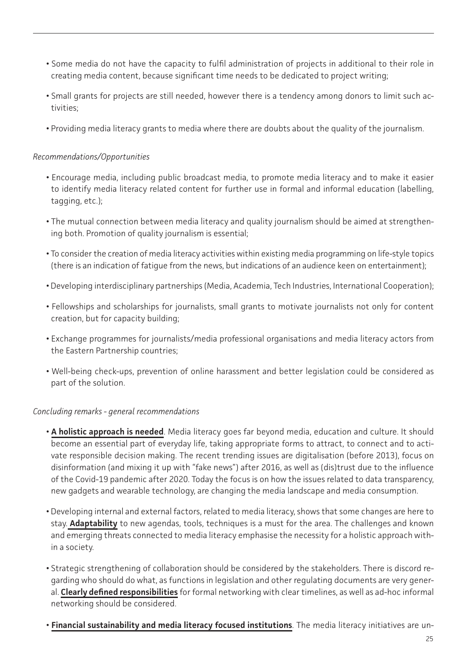- Some media do not have the capacity to fulfil administration of projects in additional to their role in creating media content, because significant time needs to be dedicated to project writing;
- Small grants for projects are still needed, however there is a tendency among donors to limit such activities;
- Providing media literacy grants to media where there are doubts about the quality of the journalism.

#### *Recommendations/Opportunities*

- Encourage media, including public broadcast media, to promote media literacy and to make it easier to identify media literacy related content for further use in formal and informal education (labelling, tagging, etc.);
- The mutual connection between media literacy and quality journalism should be aimed at strengthening both. Promotion of quality journalism is essential;
- To consider the creation of media literacy activities within existing media programming on life-style topics (there is an indication of fatigue from the news, but indications of an audience keen on entertainment);
- Developing interdisciplinary partnerships (Media, Academia, Tech Industries, International Cooperation);
- Fellowships and scholarships for journalists, small grants to motivate journalists not only for content creation, but for capacity building;
- Exchange programmes for journalists/media professional organisations and media literacy actors from the Eastern Partnership countries;
- Well-being check-ups, prevention of online harassment and better legislation could be considered as part of the solution.

#### *Concluding remarks - general recommendations*

- **A holistic approach is needed**. Media literacy goes far beyond media, education and culture. It should become an essential part of everyday life, taking appropriate forms to attract, to connect and to activate responsible decision making. The recent trending issues are digitalisation (before 2013), focus on disinformation (and mixing it up with "fake news") after 2016, as well as (dis)trust due to the influence of the Covid-19 pandemic after 2020. Today the focus is on how the issues related to data transparency, new gadgets and wearable technology, are changing the media landscape and media consumption.
- Developing internal and external factors, related to media literacy, shows that some changes are here to stay. **Adaptability** to new agendas, tools, techniques is a must for the area. The challenges and known and emerging threats connected to media literacy emphasise the necessity for a holistic approach within a society.
- Strategic strengthening of collaboration should be considered by the stakeholders. There is discord regarding who should do what, as functions in legislation and other regulating documents are very general. **Clearly defined responsibilities** for formal networking with clear timelines, as well as ad-hoc informal networking should be considered.
- **Financial sustainability and media literacy focused institutions**. The media literacy initiatives are un-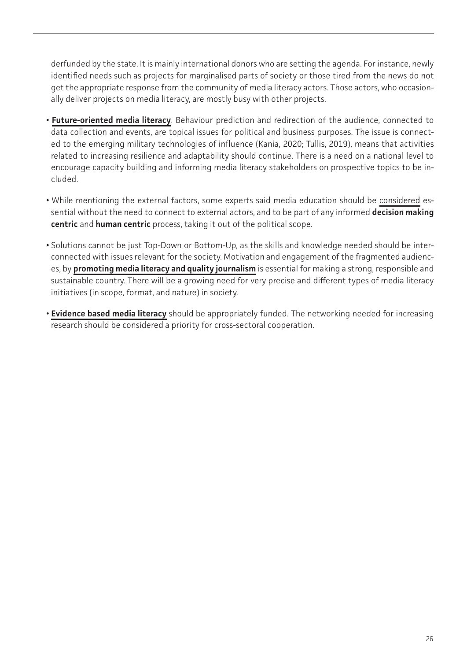derfunded by the state. It is mainly international donors who are setting the agenda. For instance, newly identified needs such as projects for marginalised parts of society or those tired from the news do not get the appropriate response from the community of media literacy actors. Those actors, who occasionally deliver projects on media literacy, are mostly busy with other projects.

- **Future-oriented media literacy**. Behaviour prediction and redirection of the audience, connected to data collection and events, are topical issues for political and business purposes. The issue is connected to the emerging military technologies of influence (Kania, 2020; Tullis, 2019), means that activities related to increasing resilience and adaptability should continue. There is a need on a national level to encourage capacity building and informing media literacy stakeholders on prospective topics to be included.
- While mentioning the external factors, some experts said media education should be considered essential without the need to connect to external actors, and to be part of any informed **decision making centric** and **human centric** process, taking it out of the political scope.
- Solutions cannot be just Top-Down or Bottom-Up, as the skills and knowledge needed should be interconnected with issues relevant for the society. Motivation and engagement of the fragmented audiences, by **promoting media literacy and quality journalism** is essential for making a strong, responsible and sustainable country. There will be a growing need for very precise and different types of media literacy initiatives (in scope, format, and nature) in society.
- **Evidence based media literacy** should be appropriately funded. The networking needed for increasing research should be considered a priority for cross-sectoral cooperation.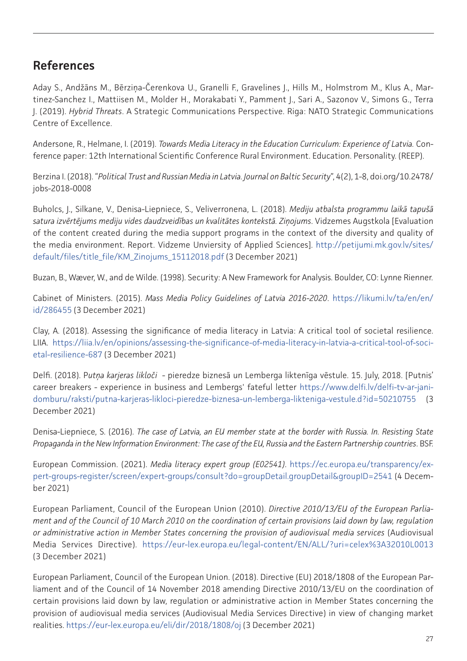# <span id="page-26-0"></span>**References**

Aday S., Andžāns M., Bērziņa-Čerenkova U., Granelli F., Gravelines J., Hills M., Holmstrom M., Klus A., Martinez-Sanchez I., Mattiisen M., Molder H., Morakabati Y., Pamment J., Sari A., Sazonov V., Simons G., Terra J. (2019). *Hybrid Threats*. A Strategic Communications Perspective. Riga: NATO Strategic Communications Centre of Excellence.

Andersone, R., Helmane, I. (2019). *Towards Media Literacy in the Education Curriculum: Experience of Latvia.* Conference paper: 12th International Scientific Conference Rural Environment. Education. Personality. (REEP).

Berzina I. (2018). "*Political Trust and Russian Media in Latvia. Journal on Baltic Security*", 4(2), 1-8, doi.org/10.2478/ jobs-2018-0008

Buholcs, J., Silkane, V., Denisa-Liepniece, S., Veliverronena, L. (2018). *Mediju atbalsta programmu laikā tapušā satura izvērtējums mediju vides daudzveidības un kvalitātes kontekstā. Ziņojums*. Vidzemes Augstkola [Evaluation of the content created during the media support programs in the context of the diversity and quality of the media environment. Report. Vidzeme Unviersity of Applied Sciences]. [http://petijumi.mk.gov.lv/sites/](http://petijumi.mk.gov.lv/sites/default/files/title_file/KM_Zinojums_15112018.pdf) [default/files/title\\_file/KM\\_Zinojums\\_15112018.pdf](http://petijumi.mk.gov.lv/sites/default/files/title_file/KM_Zinojums_15112018.pdf) (3 December 2021)

Buzan, B., Wæver, W., and de Wilde. (1998). Security: A New Framework for Analysis. Boulder, CO: Lynne Rienner.

Cabinet of Ministers. (2015). *Mass Media Policy Guidelines of Latvia 2016-2020*. [https://likumi.lv/ta/en/en/](https://likumi.lv/ta/en/en/id/286455) [id/286455](https://likumi.lv/ta/en/en/id/286455) (3 December 2021)

Clay, A. (2018). Assessing the significance of media literacy in Latvia: A critical tool of societal resilience. LIIA. [https://liia.lv/en/opinions/assessing-the-significance-of-media-literacy-in-latvia-a-critical-tool-of-soci](https://liia.lv/en/opinions/assessing-the-significance-of-media-literacy-in-latvia-a-critical-tool-o)[etal-resilience-687](https://liia.lv/en/opinions/assessing-the-significance-of-media-literacy-in-latvia-a-critical-tool-o) (3 December 2021)

Delfi. (2018). P*utņa karjeras likloči* - pieredze biznesā un Lemberga liktenīga vēstule. 15. July, 2018. [Putnis' career breakers - experience in business and Lembergs' fateful letter [https://www.delfi.lv/delfi-tv-ar-jani](https://www.delfi.lv/delfi-tv-ar-jani-domburu/raksti/putna-karjeras-likloci-pieredze-biznesa-un-lemb)[domburu/raksti/putna-karjeras-likloci-pieredze-biznesa-un-lemberga-likteniga-vestule.d?id=50210755](https://www.delfi.lv/delfi-tv-ar-jani-domburu/raksti/putna-karjeras-likloci-pieredze-biznesa-un-lemb) (3 December 2021)

Denisa-Liepniece, S. (2016). *The case of Latvia, an EU member state at the border with Russia. In. Resisting State Propaganda in the New Information Environment: The case of the EU, Russia and the Eastern Partnership countries*. BSF.

European Commission. (2021). *Media literacy expert group (E02541)*. [https://ec.europa.eu/transparency/ex](https://ec.europa.eu/transparency/expert-groups-register/screen/expert-groups/consult?do=groupDetail)[pert-groups-register/screen/expert-groups/consult?do=groupDetail.groupDetail&groupID=2541](https://ec.europa.eu/transparency/expert-groups-register/screen/expert-groups/consult?do=groupDetail) (4 December 2021)

European Parliament, Council of the European Union (2010). *Directive 2010/13/EU of the European Parliament and of the Council of 10 March 2010 on the coordination of certain provisions laid down by law, regulation or administrative action in Member States concerning the provision of audiovisual media services* (Audiovisual Media Services Directive). <https://eur-lex.europa.eu/legal-content/EN/ALL/?uri=celex%3A32010L0013> (3 December 2021)

European Parliament, Council of the European Union. (2018). Directive (EU) 2018/1808 of the European Parliament and of the Council of 14 November 2018 amending Directive 2010/13/EU on the coordination of certain provisions laid down by law, regulation or administrative action in Member States concerning the provision of audiovisual media services (Audiovisual Media Services Directive) in view of changing market realities. <https://eur-lex.europa.eu/eli/dir/2018/1808/oj> (3 December 2021)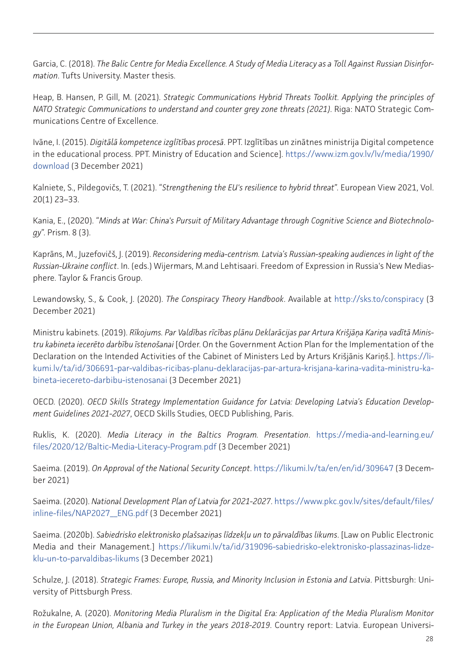Garcia, C. (2018). *The Balic Centre for Media Excellence. A Study of Media Literacy as a Toll Against Russian Disinformation*. Tufts University. Master thesis.

Heap, B. Hansen, P. Gill, M. (2021). *Strategic Communications Hybrid Threats Toolkit. Applying the principles of NATO Strategic Communications to understand and counter grey zone threats (2021)*. Riga: NATO Strategic Communications Centre of Excellence.

Ivāne, I. (2015). *Digitālā kompetence izglītības procesā*. PPT. Izglītības un zinātnes ministrija Digital competence in the educational process. PPT. Ministry of Education and Science]. [https://www.izm.gov.lv/lv/media/1990/](https://www.izm.gov.lv/lv/media/1990/download) [download](https://www.izm.gov.lv/lv/media/1990/download) (3 December 2021)

Kalniete, S., Pildegovičs, T. (2021). "*Strengthening the EU's resilience to hybrid threat*". European View 2021, Vol. 20(1) 23–33.

Kania, E., (2020). "*Minds at War: China's Pursuit of Military Advantage through Cognitive Science and Biotechnology*". Prism. 8 (3).

Kaprāns, M., Juzefovičš, J. (2019). *Reconsidering media-centrism. Latvia's Russian-speaking audiences in light of the Russian-Ukraine conflict*. In. (eds.) Wijermars, M.and Lehtisaari. Freedom of Expression in Russia's New Mediasphere. Taylor & Francis Group.

Lewandowsky, S., & Cook, J. (2020). *The Conspiracy Theory Handbook*. Available at <http://sks.to/conspiracy> (3 December 2021)

Ministru kabinets. (2019). *Rīkojums. Par Valdības rīcības plānu Deklarācijas par Artura Krišjāņa Kariņa vadītā Ministru kabineta iecerēto darbību īstenošanai* [Order. On the Government Action Plan for the Implementation of the Declaration on the Intended Activities of the Cabinet of Ministers Led by Arturs Krišjānis Kariņš.]. [https://li](https://likumi.lv/ta/id/306691-par-valdibas-ricibas-planu-deklaracijas-par-artura-krisjana-karina-va)[kumi.lv/ta/id/306691-par-valdibas-ricibas-planu-deklaracijas-par-artura-krisjana-karina-vadita-ministru-ka](https://likumi.lv/ta/id/306691-par-valdibas-ricibas-planu-deklaracijas-par-artura-krisjana-karina-va)[bineta-iecereto-darbibu-istenosanai](https://likumi.lv/ta/id/306691-par-valdibas-ricibas-planu-deklaracijas-par-artura-krisjana-karina-va) (3 December 2021)

OECD. (2020). *OECD Skills Strategy Implementation Guidance for Latvia: Developing Latvia's Education Development Guidelines 2021-2027*, OECD Skills Studies, OECD Publishing, Paris.

Ruklis, K. (2020). *Media Literacy in the Baltics Program. Presentation*. [https://media-and-learning.eu/](https://media-and-learning.eu/files/2020/12/Baltic-Media-Literacy-Program.pdf) [files/2020/12/Baltic-Media-Literacy-Program.pdf](https://media-and-learning.eu/files/2020/12/Baltic-Media-Literacy-Program.pdf) (3 December 2021)

Saeima. (2019). *On Approval of the National Security Concept*. <https://likumi.lv/ta/en/en/id/309647>(3 December 2021)

Saeima. (2020). *National Development Plan of Latvia for 2021-2027*. [https://www.pkc.gov.lv/sites/default/files/](https://www.pkc.gov.lv/sites/default/files/inline-files/NAP2027__ENG.pdf) [inline-files/NAP2027\\_\\_ENG.pdf](https://www.pkc.gov.lv/sites/default/files/inline-files/NAP2027__ENG.pdf) (3 December 2021)

Saeima. (2020b). *Sabiedrisko elektronisko plašsaziņas līdzekļu un to pārvaldības likums*. [Law on Public Electronic Media and their Management.] [https://likumi.lv/ta/id/319096-sabiedrisko-elektronisko-plassazinas-lidze](https://likumi.lv/ta/id/319096-sabiedrisko-elektronisko-plassazinas-lidzeklu-un-to-parvaldibas-likum)[klu-un-to-parvaldibas-likums](https://likumi.lv/ta/id/319096-sabiedrisko-elektronisko-plassazinas-lidzeklu-un-to-parvaldibas-likum) (3 December 2021)

Schulze, J. (2018). *Strategic Frames: Europe, Russia, and Minority Inclusion in Estonia and Latvia*. Pittsburgh: University of Pittsburgh Press.

Rožukalne, A. (2020). *Monitoring Media Pluralism in the Digital Era: Application of the Media Pluralism Monitor in the European Union, Albania and Turkey in the years 2018-2019*. Country report: Latvia. European Universi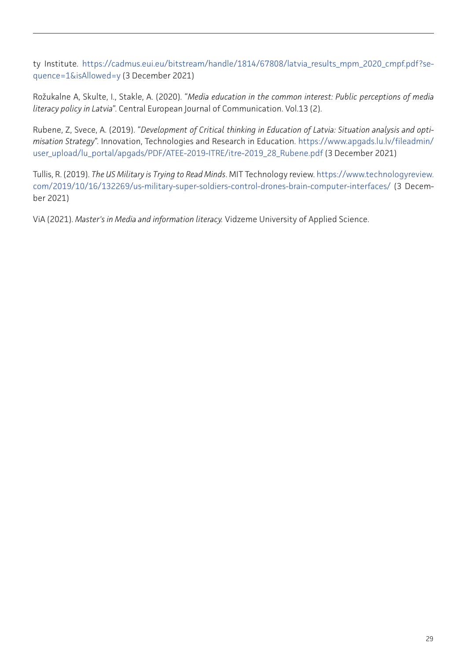ty Institute. [https://cadmus.eui.eu/bitstream/handle/1814/67808/latvia\\_results\\_mpm\\_2020\\_cmpf.pdf?se](https://cadmus.eui.eu/bitstream/handle/1814/67808/latvia_results_mpm_2020_cmpf.pdf?sequence=1&isAllo)[quence=1&isAllowed=y](https://cadmus.eui.eu/bitstream/handle/1814/67808/latvia_results_mpm_2020_cmpf.pdf?sequence=1&isAllo) (3 December 2021)

Rožukalne A, Skulte, I., Stakle, A. (2020). "*Media education in the common interest: Public perceptions of media literacy policy in Latvia*". Central European Journal of Communication. Vol.13 (2).

Rubene, Z, Svece, A. (2019). "*Development of Critical thinking in Education of Latvia: Situation analysis and optimisation Strategy*". Innovation, Technologies and Research in Education. [https://www.apgads.lu.lv/fileadmin/](https://www.apgads.lu.lv/fileadmin/user_upload/lu_portal/apgads/PDF/ATEE-2019-ITRE/itre-2019_28_Rube) [user\\_upload/lu\\_portal/apgads/PDF/ATEE-2019-ITRE/itre-2019\\_28\\_Rubene.pdf](https://www.apgads.lu.lv/fileadmin/user_upload/lu_portal/apgads/PDF/ATEE-2019-ITRE/itre-2019_28_Rube) (3 December 2021)

Tullis, R. (2019). *The US Military is Trying to Read Minds*. MIT Technology review. [https://www.technologyreview.](https://www.technologyreview.com/2019/10/16/132269/us-military-super-soldiers-control-drones-brain-c) [com/2019/10/16/132269/us-military-super-soldiers-control-drones-brain-computer-interfaces/](https://www.technologyreview.com/2019/10/16/132269/us-military-super-soldiers-control-drones-brain-c) (3 December 2021)

ViA (2021). *Master's in Media and information literacy.* Vidzeme University of Applied Science.